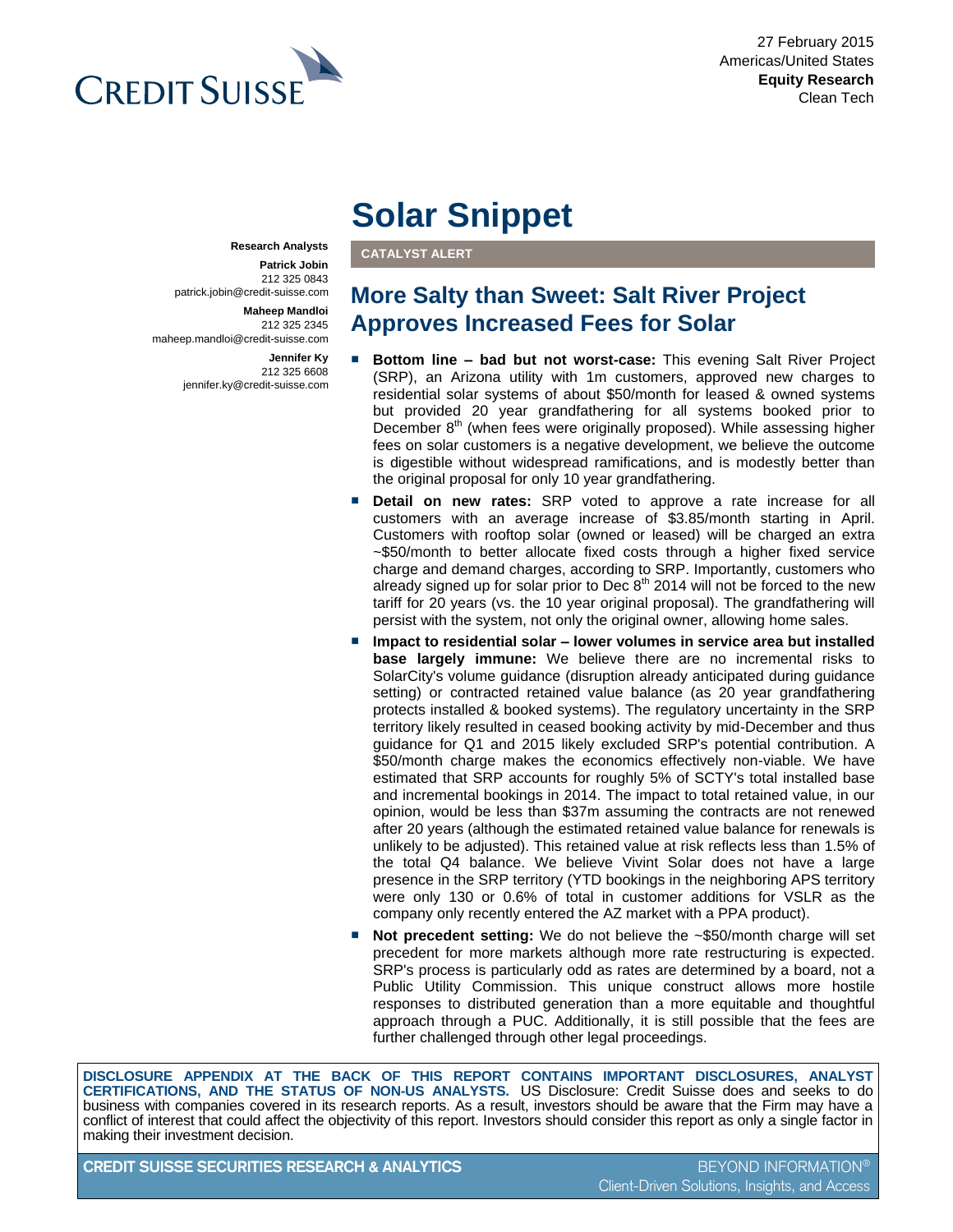

**Research Analysts Patrick Jobin** 212 325 0843

> **Maheep Mandloi** 212 325 2345

> > **Jennifer Ky** 212 325 6608

patrick.jobin@credit-suisse.com

jennifer.ky@credit-suisse.com

maheep.mandloi@credit-suisse.com

27 February 2015 Americas/United States **Equity Research** Clean Tech

# **Solar Snippet**

**CATALYST ALERT**

## **More Salty than Sweet: Salt River Project Approves Increased Fees for Solar**

- **Bottom line bad but not worst-case:** This evening Salt River Project (SRP), an Arizona utility with 1m customers, approved new charges to residential solar systems of about \$50/month for leased & owned systems but provided 20 year grandfathering for all systems booked prior to December  $8<sup>th</sup>$  (when fees were originally proposed). While assessing higher fees on solar customers is a negative development, we believe the outcome is digestible without widespread ramifications, and is modestly better than the original proposal for only 10 year grandfathering.
- **Detail on new rates:** SRP voted to approve a rate increase for all customers with an average increase of \$3.85/month starting in April. Customers with rooftop solar (owned or leased) will be charged an extra ~\$50/month to better allocate fixed costs through a higher fixed service charge and demand charges, according to SRP. Importantly, customers who already signed up for solar prior to Dec  $8<sup>th</sup>$  2014 will not be forced to the new tariff for 20 years (vs. the 10 year original proposal). The grandfathering will persist with the system, not only the original owner, allowing home sales.
- Impact to residential solar lower volumes in service area but installed **base largely immune:** We believe there are no incremental risks to SolarCity's volume guidance (disruption already anticipated during guidance setting) or contracted retained value balance (as 20 year grandfathering protects installed & booked systems). The regulatory uncertainty in the SRP territory likely resulted in ceased booking activity by mid-December and thus guidance for Q1 and 2015 likely excluded SRP's potential contribution. A \$50/month charge makes the economics effectively non-viable. We have estimated that SRP accounts for roughly 5% of SCTY's total installed base and incremental bookings in 2014. The impact to total retained value, in our opinion, would be less than \$37m assuming the contracts are not renewed after 20 years (although the estimated retained value balance for renewals is unlikely to be adjusted). This retained value at risk reflects less than 1.5% of the total Q4 balance. We believe Vivint Solar does not have a large presence in the SRP territory (YTD bookings in the neighboring APS territory were only 130 or 0.6% of total in customer additions for VSLR as the company only recently entered the AZ market with a PPA product).
- **Not precedent setting:** We do not believe the ~\$50/month charge will set precedent for more markets although more rate restructuring is expected. SRP's process is particularly odd as rates are determined by a board, not a Public Utility Commission. This unique construct allows more hostile responses to distributed generation than a more equitable and thoughtful approach through a PUC. Additionally, it is still possible that the fees are further challenged through other legal proceedings.

**DISCLOSURE APPENDIX AT THE BACK OF THIS REPORT CONTAINS IMPORTANT DISCLOSURES, ANALYST CERTIFICATIONS, AND THE STATUS OF NON-US ANALYSTS.** US Disclosure: Credit Suisse does and seeks to do business with companies covered in its research reports. As a result, investors should be aware that the Firm may have a conflict of interest that could affect the objectivity of this report. Investors should consider this report as only a single factor in making their investment decision.

**CREDIT SUISSE SECURITIES RESEARCH & ANALYTICS** BEYOND INFORMATION®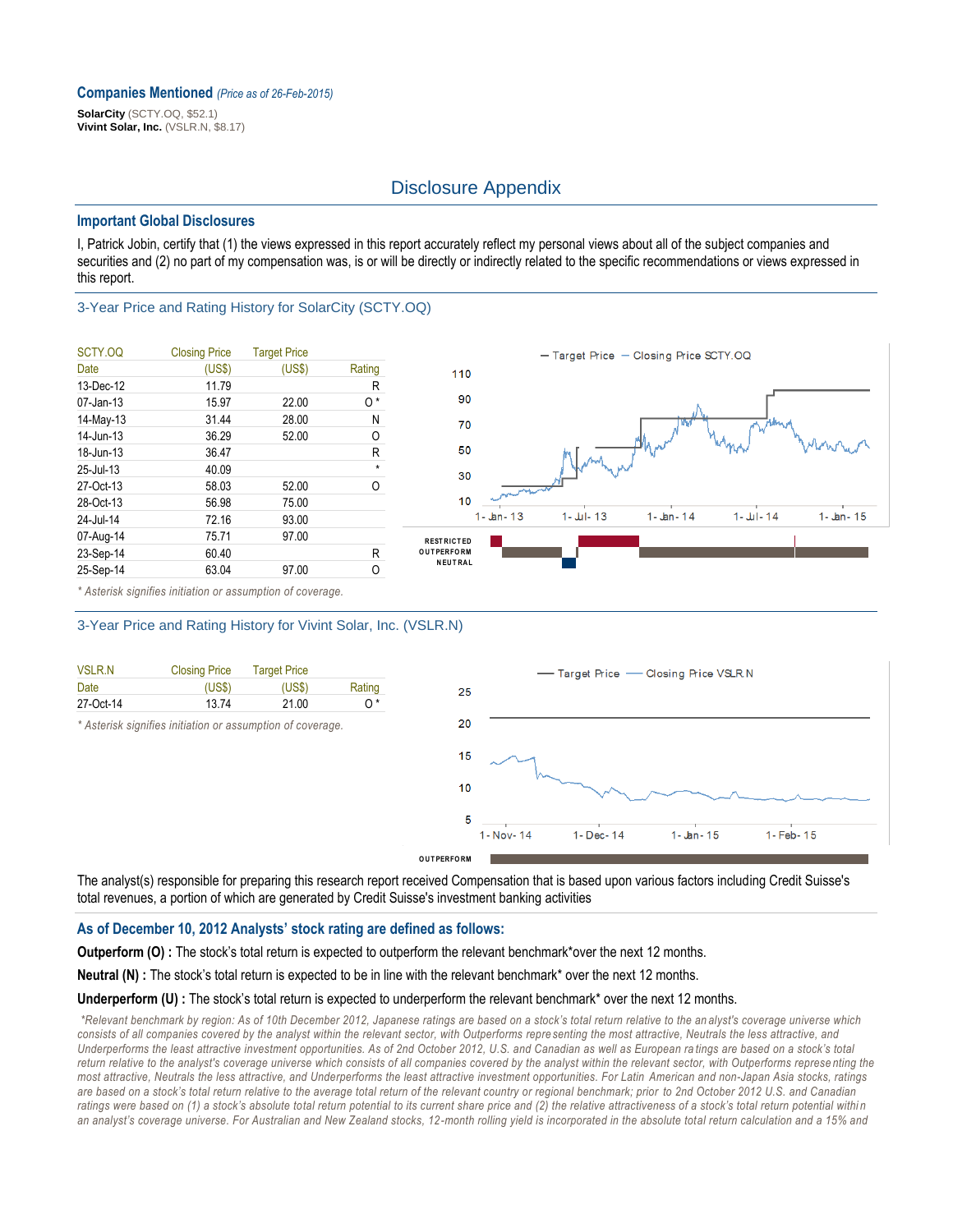#### **Companies Mentioned** *(Price as of 26-Feb-2015)*

**SolarCity** (SCTY.OQ, \$52.1) **Vivint Solar, Inc.** (VSLR.N, \$8.17)

### Disclosure Appendix

#### **Important Global Disclosures**

I, Patrick Jobin, certify that (1) the views expressed in this report accurately reflect my personal views about all of the subject companies and securities and (2) no part of my compensation was, is or will be directly or indirectly related to the specific recommendations or views expressed in this report.

#### 3-Year Price and Rating History for SolarCity (SCTY.OQ)

| SCTY.OQ      | <b>Closing Price</b> | <b>Target Price</b> |         |
|--------------|----------------------|---------------------|---------|
| Date         | (US\$)               | (US\$)              | Rating  |
| 13-Dec-12    | 11.79                |                     | R       |
| $07$ -Jan-13 | 15.97                | 22.00               | 0*      |
| 14-May-13    | 31.44                | 28.00               | Ν       |
| 14-Jun-13    | 36.29                | 52.00               | 0       |
| 18-Jun-13    | 36.47                |                     | R       |
| 25-Jul-13    | 40.09                |                     | $\star$ |
| 27-Oct-13    | 58.03                | 52.00               | O       |
| 28-Oct-13    | 56.98                | 75.00               |         |
| 24-Jul-14    | 72.16                | 93.00               |         |
| 07-Aug-14    | 75.71                | 97.00               |         |
| 23-Sep-14    | 60.40                |                     | R       |
| 25-Sep-14    | 63.04                | 97.00               | Ο       |



*\* Asterisk signifies initiation or assumption of coverage.*

#### 3-Year Price and Rating History for Vivint Solar, Inc. (VSLR.N)

| <b>VSLR.N</b> | <b>Closing Price</b> | <b>Target Price</b> |        |
|---------------|----------------------|---------------------|--------|
| Date          | (USS)                | (USS)               | Rating |
| 27-Oct-14     | 1374                 | 21.00               | ∩*     |

*\* Asterisk signifies initiation or assumption of coverage.*



The analyst(s) responsible for preparing this research report received Compensation that is based upon various factors including Credit Suisse's total revenues, a portion of which are generated by Credit Suisse's investment banking activities

#### **As of December 10, 2012 Analysts' stock rating are defined as follows:**

**Outperform (O) :** The stock's total return is expected to outperform the relevant benchmark\*over the next 12 months.

**Neutral (N) :** The stock's total return is expected to be in line with the relevant benchmark\* over the next 12 months.

#### Underperform (U) : The stock's total return is expected to underperform the relevant benchmark<sup>\*</sup> over the next 12 months.

*\*Relevant benchmark by region: As of 10th December 2012, Japanese ratings are based on a stock's total return relative to the an alyst's coverage universe which*  consists of all companies covered by the analyst within the relevant sector, with Outperforms repre senting the most attractive, Neutrals the less attractive, and *Underperforms the least attractive investment opportunities. As of 2nd October 2012, U.S. and Canadian as well as European ra tings are based on a stock's total return relative to the analyst's coverage universe which consists of all companies covered by the analyst within the relevant sector, with Outperforms represe nting the most attractive, Neutrals the less attractive, and Underperforms the least attractive investment opportunities. For Latin American and non-Japan Asia stocks, ratings are based on a stock's total return relative to the average total return of the relevant country or regional benchmark; prior to 2nd October 2012 U.S. and Canadian*  ratings were based on (1) a stock's absolute total return potential to its current share price and (2) the relative attractiveness of a stock's total return potential within *an analyst's coverage universe. For Australian and New Zealand stocks, 12-month rolling yield is incorporated in the absolute total return calculation and a 15% and*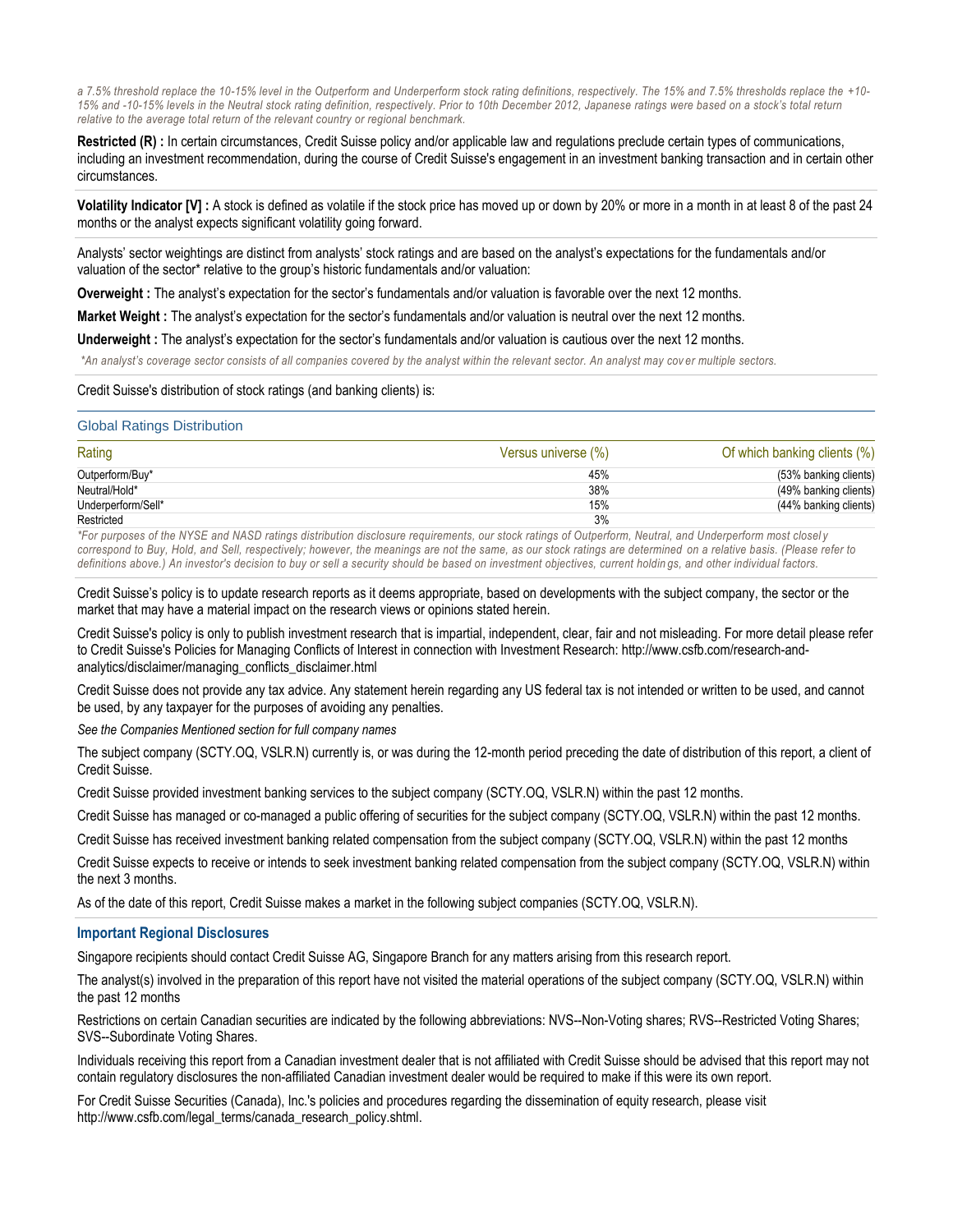*a 7.5% threshold replace the 10-15% level in the Outperform and Underperform stock rating definitions, respectively. The 15% and 7.5% thresholds replace the +10-* 15% and -10-15% levels in the Neutral stock rating definition, respectively. Prior to 10th December 2012, Japanese ratings were based on a stock's total return *relative to the average total return of the relevant country or regional benchmark.*

**Restricted (R) :** In certain circumstances, Credit Suisse policy and/or applicable law and regulations preclude certain types of communications, including an investment recommendation, during the course of Credit Suisse's engagement in an investment banking transaction and in certain other circumstances.

**Volatility Indicator [V] :** A stock is defined as volatile if the stock price has moved up or down by 20% or more in a month in at least 8 of the past 24 months or the analyst expects significant volatility going forward.

Analysts' sector weightings are distinct from analysts' stock ratings and are based on the analyst's expectations for the fundamentals and/or valuation of the sector\* relative to the group's historic fundamentals and/or valuation:

**Overweight :** The analyst's expectation for the sector's fundamentals and/or valuation is favorable over the next 12 months.

**Market Weight :** The analyst's expectation for the sector's fundamentals and/or valuation is neutral over the next 12 months.

**Underweight :** The analyst's expectation for the sector's fundamentals and/or valuation is cautious over the next 12 months.

*\*An analyst's coverage sector consists of all companies covered by the analyst within the relevant sector. An analyst may cov er multiple sectors.*

Credit Suisse's distribution of stock ratings (and banking clients) is:

#### Global Ratings Distribution

| Rating             | Versus universe (%) | Of which banking clients (%) |
|--------------------|---------------------|------------------------------|
| Outperform/Buy*    | 45%                 | (53% banking clients)        |
| Neutral/Hold*      | 38%                 | (49% banking clients)        |
| Underperform/Sell* | 15%                 | (44% banking clients)        |
| Restricted         | 3%                  |                              |

*\*For purposes of the NYSE and NASD ratings distribution disclosure requirements, our stock ratings of Outperform, Neutral, and Underperform most closel y correspond to Buy, Hold, and Sell, respectively; however, the meanings are not the same, as our stock ratings are determined on a relative basis. (Please refer to*  definitions above.) An investor's decision to buy or sell a security should be based on investment objectives, current holdings, and other individual factors.

Credit Suisse's policy is to update research reports as it deems appropriate, based on developments with the subject company, the sector or the market that may have a material impact on the research views or opinions stated herein.

Credit Suisse's policy is only to publish investment research that is impartial, independent, clear, fair and not misleading. For more detail please refer to Credit Suisse's Policies for Managing Conflicts of Interest in connection with Investment Research: http://www.csfb.com/research-andanalytics/disclaimer/managing\_conflicts\_disclaimer.html

Credit Suisse does not provide any tax advice. Any statement herein regarding any US federal tax is not intended or written to be used, and cannot be used, by any taxpayer for the purposes of avoiding any penalties.

*See the Companies Mentioned section for full company names* 

The subject company (SCTY.OQ, VSLR.N) currently is, or was during the 12-month period preceding the date of distribution of this report, a client of Credit Suisse.

Credit Suisse provided investment banking services to the subject company (SCTY.OQ, VSLR.N) within the past 12 months.

Credit Suisse has managed or co-managed a public offering of securities for the subject company (SCTY.OQ, VSLR.N) within the past 12 months.

Credit Suisse has received investment banking related compensation from the subject company (SCTY.OQ, VSLR.N) within the past 12 months

Credit Suisse expects to receive or intends to seek investment banking related compensation from the subject company (SCTY.OQ, VSLR.N) within the next 3 months.

As of the date of this report, Credit Suisse makes a market in the following subject companies (SCTY.OQ, VSLR.N).

#### **Important Regional Disclosures**

Singapore recipients should contact Credit Suisse AG, Singapore Branch for any matters arising from this research report.

The analyst(s) involved in the preparation of this report have not visited the material operations of the subject company (SCTY.OQ, VSLR.N) within the past 12 months

Restrictions on certain Canadian securities are indicated by the following abbreviations: NVS--Non-Voting shares; RVS--Restricted Voting Shares; SVS--Subordinate Voting Shares.

Individuals receiving this report from a Canadian investment dealer that is not affiliated with Credit Suisse should be advised that this report may not contain regulatory disclosures the non-affiliated Canadian investment dealer would be required to make if this were its own report.

For Credit Suisse Securities (Canada), Inc.'s policies and procedures regarding the dissemination of equity research, please visit http://www.csfb.com/legal\_terms/canada\_research\_policy.shtml.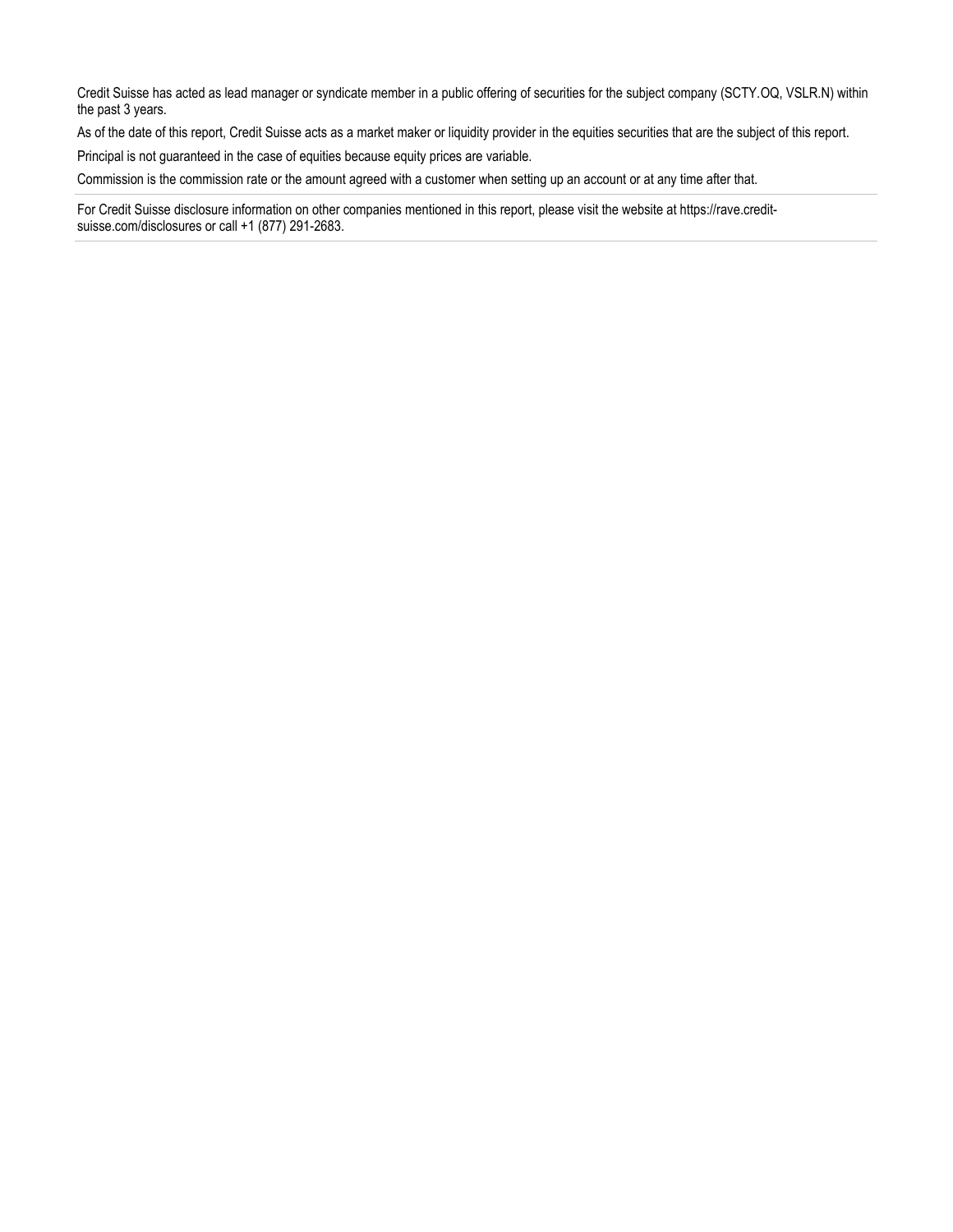Credit Suisse has acted as lead manager or syndicate member in a public offering of securities for the subject company (SCTY.OQ, VSLR.N) within the past 3 years.

As of the date of this report, Credit Suisse acts as a market maker or liquidity provider in the equities securities that are the subject of this report.

Principal is not guaranteed in the case of equities because equity prices are variable.

Commission is the commission rate or the amount agreed with a customer when setting up an account or at any time after that.

For Credit Suisse disclosure information on other companies mentioned in this report, please visit the website at https://rave.creditsuisse.com/disclosures or call +1 (877) 291-2683.